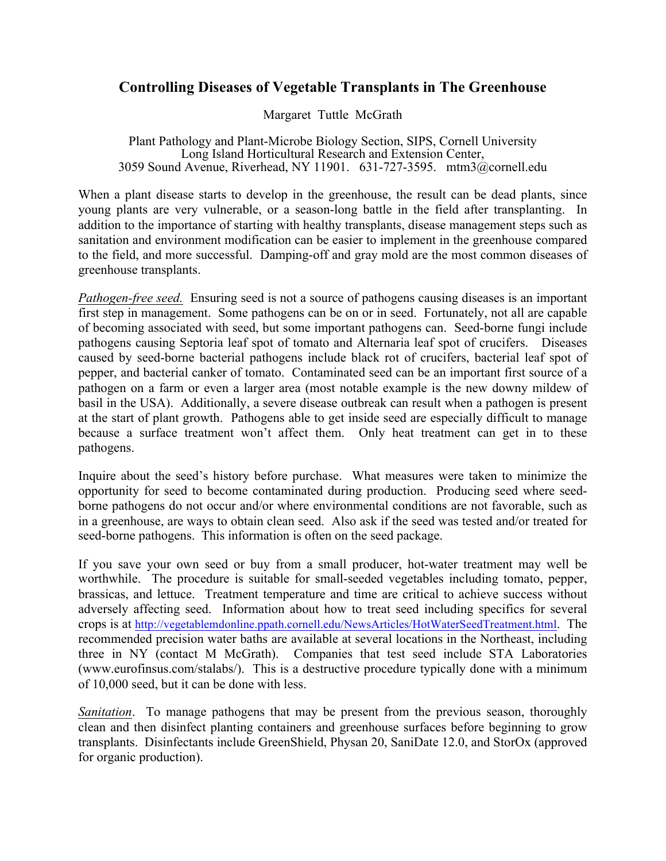## **Controlling Diseases of Vegetable Transplants in The Greenhouse**

Margaret Tuttle McGrath

Plant Pathology and Plant-Microbe Biology Section, SIPS, Cornell University Long Island Horticultural Research and Extension Center, 3059 Sound Avenue, Riverhead, NY 11901. 631-727-3595. mtm3@cornell.edu

When a plant disease starts to develop in the greenhouse, the result can be dead plants, since young plants are very vulnerable, or a season-long battle in the field after transplanting. In addition to the importance of starting with healthy transplants, disease management steps such as sanitation and environment modification can be easier to implement in the greenhouse compared to the field, and more successful. Damping-off and gray mold are the most common diseases of greenhouse transplants.

*Pathogen-free seed.* Ensuring seed is not a source of pathogens causing diseases is an important first step in management. Some pathogens can be on or in seed. Fortunately, not all are capable of becoming associated with seed, but some important pathogens can. Seed-borne fungi include pathogens causing Septoria leaf spot of tomato and Alternaria leaf spot of crucifers. Diseases caused by seed-borne bacterial pathogens include black rot of crucifers, bacterial leaf spot of pepper, and bacterial canker of tomato. Contaminated seed can be an important first source of a pathogen on a farm or even a larger area (most notable example is the new downy mildew of basil in the USA). Additionally, a severe disease outbreak can result when a pathogen is present at the start of plant growth. Pathogens able to get inside seed are especially difficult to manage because a surface treatment won't affect them. Only heat treatment can get in to these pathogens.

Inquire about the seed's history before purchase. What measures were taken to minimize the opportunity for seed to become contaminated during production. Producing seed where seedborne pathogens do not occur and/or where environmental conditions are not favorable, such as in a greenhouse, are ways to obtain clean seed. Also ask if the seed was tested and/or treated for seed-borne pathogens. This information is often on the seed package.

If you save your own seed or buy from a small producer, hot-water treatment may well be worthwhile. The procedure is suitable for small-seeded vegetables including tomato, pepper, brassicas, and lettuce. Treatment temperature and time are critical to achieve success without adversely affecting seed. Information about how to treat seed including specifics for several crops is at http://vegetablemdonline.ppath.cornell.edu/NewsArticles/HotWaterSeedTreatment.html. The recommended precision water baths are available at several locations in the Northeast, including three in NY (contact M McGrath). Companies that test seed include STA Laboratories (www.eurofinsus.com/stalabs/). This is a destructive procedure typically done with a minimum of 10,000 seed, but it can be done with less.

*Sanitation*. To manage pathogens that may be present from the previous season, thoroughly clean and then disinfect planting containers and greenhouse surfaces before beginning to grow transplants. Disinfectants include GreenShield, Physan 20, SaniDate 12.0, and StorOx (approved for organic production).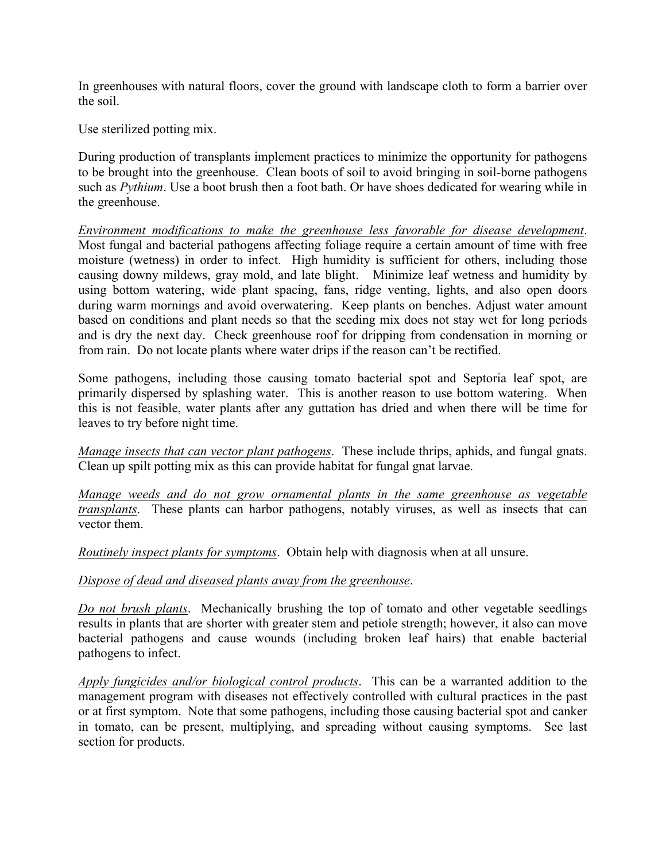In greenhouses with natural floors, cover the ground with landscape cloth to form a barrier over the soil.

Use sterilized potting mix.

During production of transplants implement practices to minimize the opportunity for pathogens to be brought into the greenhouse. Clean boots of soil to avoid bringing in soil-borne pathogens such as *Pythium*. Use a boot brush then a foot bath. Or have shoes dedicated for wearing while in the greenhouse.

*Environment modifications to make the greenhouse less favorable for disease development*. Most fungal and bacterial pathogens affecting foliage require a certain amount of time with free moisture (wetness) in order to infect. High humidity is sufficient for others, including those causing downy mildews, gray mold, and late blight. Minimize leaf wetness and humidity by using bottom watering, wide plant spacing, fans, ridge venting, lights, and also open doors during warm mornings and avoid overwatering. Keep plants on benches. Adjust water amount based on conditions and plant needs so that the seeding mix does not stay wet for long periods and is dry the next day. Check greenhouse roof for dripping from condensation in morning or from rain. Do not locate plants where water drips if the reason can't be rectified.

Some pathogens, including those causing tomato bacterial spot and Septoria leaf spot, are primarily dispersed by splashing water. This is another reason to use bottom watering. When this is not feasible, water plants after any guttation has dried and when there will be time for leaves to try before night time.

*Manage insects that can vector plant pathogens*. These include thrips, aphids, and fungal gnats. Clean up spilt potting mix as this can provide habitat for fungal gnat larvae.

*Manage weeds and do not grow ornamental plants in the same greenhouse as vegetable transplants*. These plants can harbor pathogens, notably viruses, as well as insects that can vector them.

*Routinely inspect plants for symptoms*. Obtain help with diagnosis when at all unsure.

## *Dispose of dead and diseased plants away from the greenhouse*.

*Do not brush plants*. Mechanically brushing the top of tomato and other vegetable seedlings results in plants that are shorter with greater stem and petiole strength; however, it also can move bacterial pathogens and cause wounds (including broken leaf hairs) that enable bacterial pathogens to infect.

*Apply fungicides and/or biological control products*. This can be a warranted addition to the management program with diseases not effectively controlled with cultural practices in the past or at first symptom. Note that some pathogens, including those causing bacterial spot and canker in tomato, can be present, multiplying, and spreading without causing symptoms. See last section for products.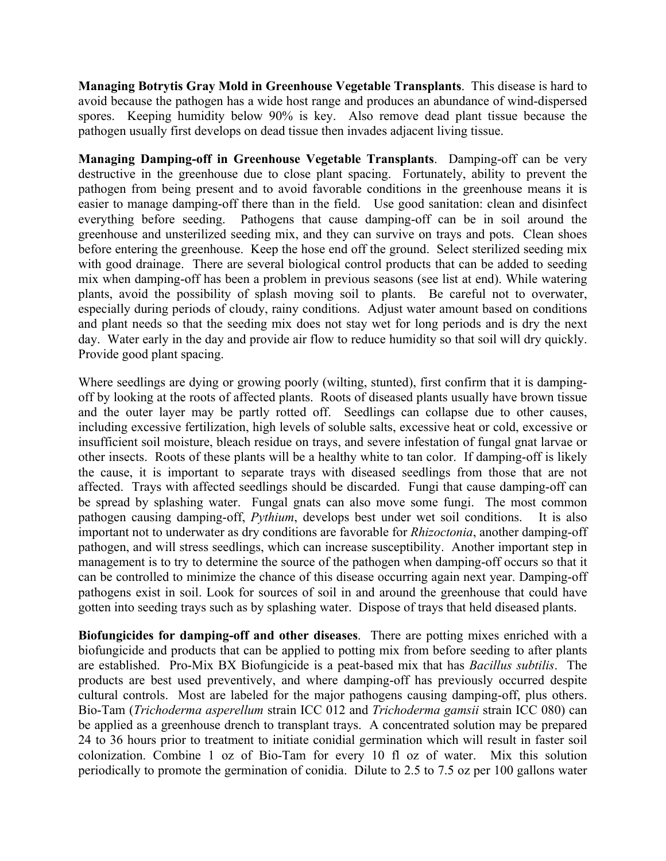**Managing Botrytis Gray Mold in Greenhouse Vegetable Transplants**. This disease is hard to avoid because the pathogen has a wide host range and produces an abundance of wind-dispersed spores. Keeping humidity below 90% is key. Also remove dead plant tissue because the pathogen usually first develops on dead tissue then invades adjacent living tissue.

**Managing Damping-off in Greenhouse Vegetable Transplants**. Damping-off can be very destructive in the greenhouse due to close plant spacing. Fortunately, ability to prevent the pathogen from being present and to avoid favorable conditions in the greenhouse means it is easier to manage damping-off there than in the field. Use good sanitation: clean and disinfect everything before seeding. Pathogens that cause damping-off can be in soil around the greenhouse and unsterilized seeding mix, and they can survive on trays and pots. Clean shoes before entering the greenhouse. Keep the hose end off the ground. Select sterilized seeding mix with good drainage. There are several biological control products that can be added to seeding mix when damping-off has been a problem in previous seasons (see list at end). While watering plants, avoid the possibility of splash moving soil to plants. Be careful not to overwater, especially during periods of cloudy, rainy conditions. Adjust water amount based on conditions and plant needs so that the seeding mix does not stay wet for long periods and is dry the next day. Water early in the day and provide air flow to reduce humidity so that soil will dry quickly. Provide good plant spacing.

Where seedlings are dying or growing poorly (wilting, stunted), first confirm that it is dampingoff by looking at the roots of affected plants. Roots of diseased plants usually have brown tissue and the outer layer may be partly rotted off. Seedlings can collapse due to other causes, including excessive fertilization, high levels of soluble salts, excessive heat or cold, excessive or insufficient soil moisture, bleach residue on trays, and severe infestation of fungal gnat larvae or other insects. Roots of these plants will be a healthy white to tan color. If damping-off is likely the cause, it is important to separate trays with diseased seedlings from those that are not affected. Trays with affected seedlings should be discarded. Fungi that cause damping-off can be spread by splashing water. Fungal gnats can also move some fungi. The most common pathogen causing damping-off, *Pythium*, develops best under wet soil conditions. It is also important not to underwater as dry conditions are favorable for *Rhizoctonia*, another damping-off pathogen, and will stress seedlings, which can increase susceptibility. Another important step in management is to try to determine the source of the pathogen when damping-off occurs so that it can be controlled to minimize the chance of this disease occurring again next year. Damping-off pathogens exist in soil. Look for sources of soil in and around the greenhouse that could have gotten into seeding trays such as by splashing water. Dispose of trays that held diseased plants.

**Biofungicides for damping-off and other diseases**. There are potting mixes enriched with a biofungicide and products that can be applied to potting mix from before seeding to after plants are established. Pro-Mix BX Biofungicide is a peat-based mix that has *Bacillus subtilis*. The products are best used preventively, and where damping-off has previously occurred despite cultural controls. Most are labeled for the major pathogens causing damping-off, plus others. Bio-Tam (*Trichoderma asperellum* strain ICC 012 and *Trichoderma gamsii* strain ICC 080) can be applied as a greenhouse drench to transplant trays. A concentrated solution may be prepared 24 to 36 hours prior to treatment to initiate conidial germination which will result in faster soil colonization. Combine 1 oz of Bio-Tam for every 10 fl oz of water. Mix this solution periodically to promote the germination of conidia. Dilute to 2.5 to 7.5 oz per 100 gallons water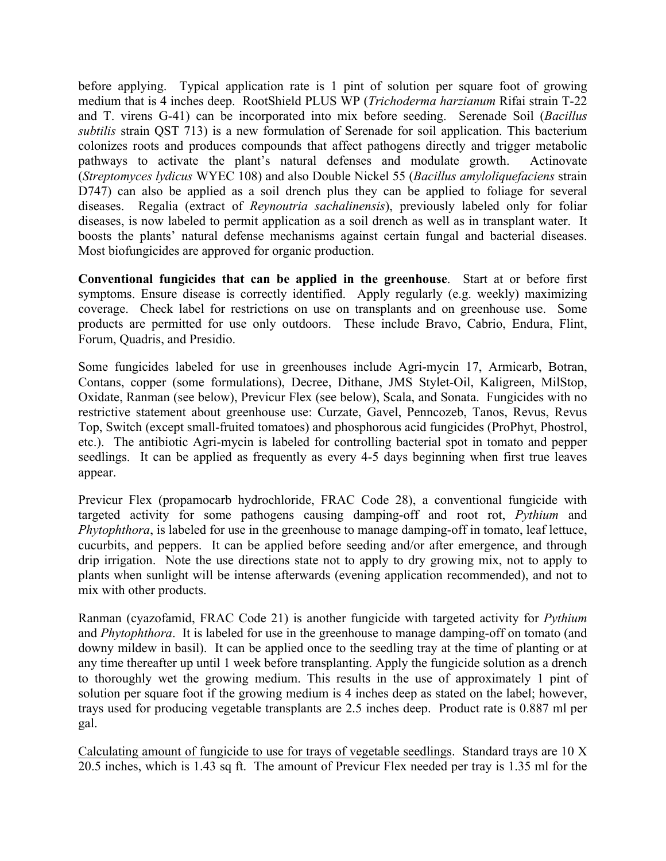before applying. Typical application rate is 1 pint of solution per square foot of growing medium that is 4 inches deep. RootShield PLUS WP (*Trichoderma harzianum* Rifai strain T-22 and T. virens G-41) can be incorporated into mix before seeding. Serenade Soil (*Bacillus subtilis* strain QST 713) is a new formulation of Serenade for soil application. This bacterium colonizes roots and produces compounds that affect pathogens directly and trigger metabolic pathways to activate the plant's natural defenses and modulate growth. Actinovate (*Streptomyces lydicus* WYEC 108) and also Double Nickel 55 (*Bacillus amyloliquefaciens* strain D747) can also be applied as a soil drench plus they can be applied to foliage for several diseases. Regalia (extract of *Reynoutria sachalinensis*), previously labeled only for foliar diseases, is now labeled to permit application as a soil drench as well as in transplant water. It boosts the plants' natural defense mechanisms against certain fungal and bacterial diseases. Most biofungicides are approved for organic production.

**Conventional fungicides that can be applied in the greenhouse**. Start at or before first symptoms. Ensure disease is correctly identified. Apply regularly (e.g. weekly) maximizing coverage. Check label for restrictions on use on transplants and on greenhouse use. Some products are permitted for use only outdoors. These include Bravo, Cabrio, Endura, Flint, Forum, Quadris, and Presidio.

Some fungicides labeled for use in greenhouses include Agri-mycin 17, Armicarb, Botran, Contans, copper (some formulations), Decree, Dithane, JMS Stylet-Oil, Kaligreen, MilStop, Oxidate, Ranman (see below), Previcur Flex (see below), Scala, and Sonata. Fungicides with no restrictive statement about greenhouse use: Curzate, Gavel, Penncozeb, Tanos, Revus, Revus Top, Switch (except small-fruited tomatoes) and phosphorous acid fungicides (ProPhyt, Phostrol, etc.). The antibiotic Agri-mycin is labeled for controlling bacterial spot in tomato and pepper seedlings. It can be applied as frequently as every 4-5 days beginning when first true leaves appear.

Previcur Flex (propamocarb hydrochloride, FRAC Code 28), a conventional fungicide with targeted activity for some pathogens causing damping-off and root rot, *Pythium* and *Phytophthora*, is labeled for use in the greenhouse to manage damping-off in tomato, leaf lettuce, cucurbits, and peppers. It can be applied before seeding and/or after emergence, and through drip irrigation. Note the use directions state not to apply to dry growing mix, not to apply to plants when sunlight will be intense afterwards (evening application recommended), and not to mix with other products.

Ranman (cyazofamid, FRAC Code 21) is another fungicide with targeted activity for *Pythium* and *Phytophthora*. It is labeled for use in the greenhouse to manage damping-off on tomato (and downy mildew in basil). It can be applied once to the seedling tray at the time of planting or at any time thereafter up until 1 week before transplanting. Apply the fungicide solution as a drench to thoroughly wet the growing medium. This results in the use of approximately 1 pint of solution per square foot if the growing medium is 4 inches deep as stated on the label; however, trays used for producing vegetable transplants are 2.5 inches deep. Product rate is 0.887 ml per gal.

Calculating amount of fungicide to use for trays of vegetable seedlings. Standard trays are 10 X 20.5 inches, which is 1.43 sq ft. The amount of Previcur Flex needed per tray is 1.35 ml for the